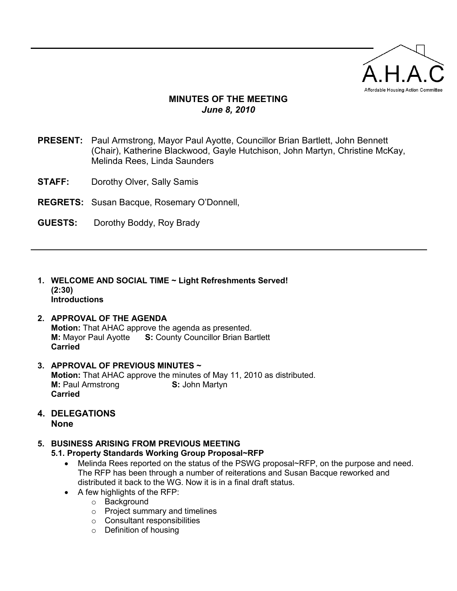

# MINUTES OF THE MEETING June 8, 2010

- PRESENT: Paul Armstrong, Mayor Paul Ayotte, Councillor Brian Bartlett, John Bennett (Chair), Katherine Blackwood, Gayle Hutchison, John Martyn, Christine McKay, Melinda Rees, Linda Saunders
- **STAFF:** Dorothy Olver, Sally Samis
- REGRETS: Susan Bacque, Rosemary O'Donnell,
- GUESTS: Dorothy Boddy, Roy Brady
- 1. WELCOME AND SOCIAL TIME ~ Light Refreshments Served! (2:30) **Introductions**

### 2. APPROVAL OF THE AGENDA

Motion: That AHAC approve the agenda as presented. **M:** Mayor Paul Ayotte S: County Councillor Brian Bartlett Carried

- 3. APPROVAL OF PREVIOUS MINUTES ~ Motion: That AHAC approve the minutes of May 11, 2010 as distributed. **M:** Paul Armstrong **S: John Martyn** Carried
- 4. DELEGATIONS None
- 5. BUSINESS ARISING FROM PREVIOUS MEETING
	- 5.1. Property Standards Working Group Proposal~RFP
		- Melinda Rees reported on the status of the PSWG proposal~RFP, on the purpose and need. The RFP has been through a number of reiterations and Susan Bacque reworked and distributed it back to the WG. Now it is in a final draft status.
		- A few highlights of the RFP:
			- o Background
			- o Project summary and timelines
			- o Consultant responsibilities
			- o Definition of housing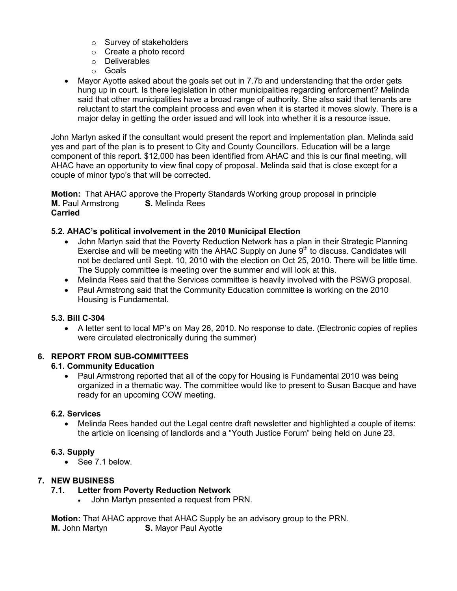- o Survey of stakeholders
- o Create a photo record
- o Deliverables
- o Goals
- Mayor Ayotte asked about the goals set out in 7.7b and understanding that the order gets hung up in court. Is there legislation in other municipalities regarding enforcement? Melinda said that other municipalities have a broad range of authority. She also said that tenants are reluctant to start the complaint process and even when it is started it moves slowly. There is a major delay in getting the order issued and will look into whether it is a resource issue.

John Martyn asked if the consultant would present the report and implementation plan. Melinda said yes and part of the plan is to present to City and County Councillors. Education will be a large component of this report. \$12,000 has been identified from AHAC and this is our final meeting, will AHAC have an opportunity to view final copy of proposal. Melinda said that is close except for a couple of minor typo's that will be corrected.

Motion: That AHAC approve the Property Standards Working group proposal in principle **M.** Paul Armstrong **S.** Melinda Rees Carried

### 5.2. AHAC's political involvement in the 2010 Municipal Election

- John Martyn said that the Poverty Reduction Network has a plan in their Strategic Planning Exercise and will be meeting with the AHAC Supply on June  $9<sup>th</sup>$  to discuss. Candidates will not be declared until Sept. 10, 2010 with the election on Oct 25, 2010. There will be little time. The Supply committee is meeting over the summer and will look at this.
- Melinda Rees said that the Services committee is heavily involved with the PSWG proposal.
- Paul Armstrong said that the Community Education committee is working on the 2010 Housing is Fundamental.

### 5.3. Bill C-304

• A letter sent to local MP's on May 26, 2010. No response to date. (Electronic copies of replies were circulated electronically during the summer)

### 6. REPORT FROM SUB-COMMITTEES

### 6.1. Community Education

• Paul Armstrong reported that all of the copy for Housing is Fundamental 2010 was being organized in a thematic way. The committee would like to present to Susan Bacque and have ready for an upcoming COW meeting.

### 6.2. Services

• Melinda Rees handed out the Legal centre draft newsletter and highlighted a couple of items: the article on licensing of landlords and a "Youth Justice Forum" being held on June 23.

### 6.3. Supply

• See 7.1 below.

# 7. NEW BUSINESS

# 7.1. Letter from Poverty Reduction Network

• John Martyn presented a request from PRN.

Motion: That AHAC approve that AHAC Supply be an advisory group to the PRN. **M.** John Martyn **S.** Mayor Paul Ayotte